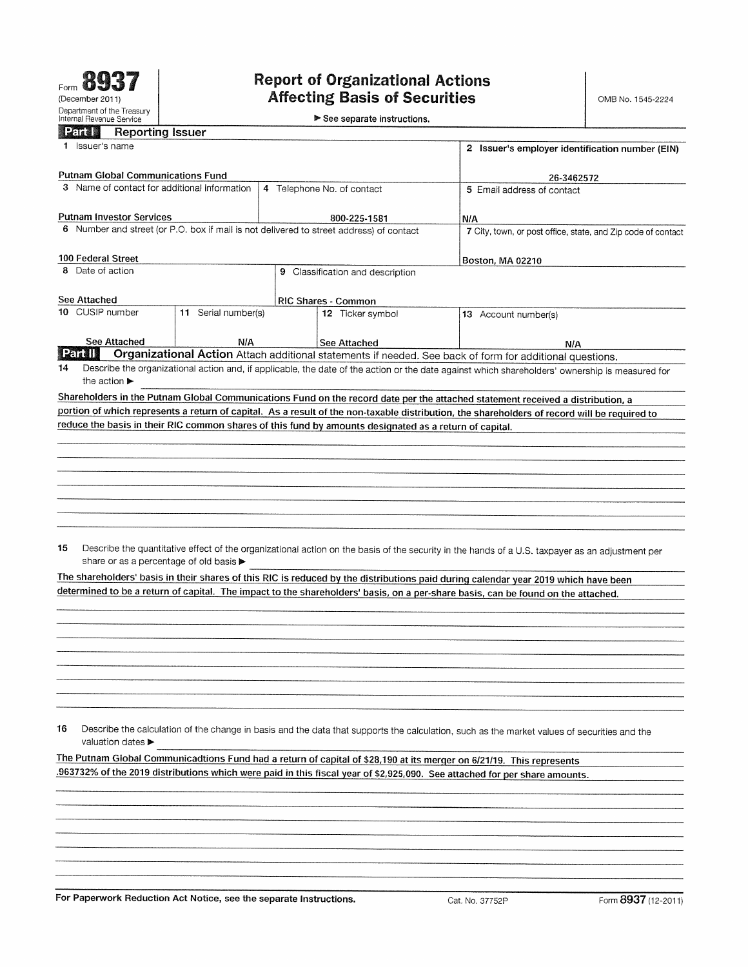$\blacktriangleright$  See separate instructions.

| <b>Part 1</b> | Reporting Issuer |  |
|---------------|------------------|--|
|               |                  |  |
|               |                  |  |

| <b>Reporting Issuer</b><br>Particul                                                                                 |                     |                                                                                                        |                                                                                                                                                 |  |  |
|---------------------------------------------------------------------------------------------------------------------|---------------------|--------------------------------------------------------------------------------------------------------|-------------------------------------------------------------------------------------------------------------------------------------------------|--|--|
| Issuer's name                                                                                                       |                     |                                                                                                        | 2 Issuer's employer identification number (EIN)                                                                                                 |  |  |
| Putnam Global Communications Fund                                                                                   |                     |                                                                                                        | 26-3462572                                                                                                                                      |  |  |
| 3 Name of contact for additional information                                                                        |                     | 4 Telephone No. of contact                                                                             | 5 Email address of contact                                                                                                                      |  |  |
|                                                                                                                     |                     |                                                                                                        |                                                                                                                                                 |  |  |
| Putnam Investor Services<br>6 Number and street (or P.O. box if mail is not delivered to street address) of contact |                     | 800-225-1581                                                                                           | N/A<br>7 City, town, or post office, state, and Zip code of contact                                                                             |  |  |
|                                                                                                                     |                     |                                                                                                        |                                                                                                                                                 |  |  |
| 100 Federal Street                                                                                                  |                     |                                                                                                        | <b>Boston, MA 02210</b>                                                                                                                         |  |  |
| Date of action<br>8                                                                                                 |                     | 9 Classification and description                                                                       |                                                                                                                                                 |  |  |
| See Attached                                                                                                        |                     |                                                                                                        |                                                                                                                                                 |  |  |
| 10 CUSIP number                                                                                                     | 11 Serial number(s) | <b>RIC Shares - Common</b><br>12 Ticker symbol                                                         | 13 Account number(s)                                                                                                                            |  |  |
|                                                                                                                     |                     |                                                                                                        |                                                                                                                                                 |  |  |
| See Attached                                                                                                        | N/A                 | See Attached                                                                                           | <b>N/A</b>                                                                                                                                      |  |  |
| Parall<br>14                                                                                                        |                     |                                                                                                        | Organizational Action Attach additional statements if needed. See back of form for additional questions.                                        |  |  |
| the action $\blacktriangleright$                                                                                    |                     |                                                                                                        | Describe the organizational action and, if applicable, the date of the action or the date against which shareholders' ownership is measured for |  |  |
|                                                                                                                     |                     |                                                                                                        | Shareholders in the Putnam Global Communications Fund on the record date per the attached statement received a distribution, a                  |  |  |
|                                                                                                                     |                     |                                                                                                        | portion of which represents a return of capital. As a result of the non-taxable distribution, the shareholders of record will be required to    |  |  |
|                                                                                                                     |                     | reduce the basis in their RIC common shares of this fund by amounts designated as a return of capital. |                                                                                                                                                 |  |  |
|                                                                                                                     |                     |                                                                                                        |                                                                                                                                                 |  |  |
|                                                                                                                     |                     |                                                                                                        |                                                                                                                                                 |  |  |
|                                                                                                                     |                     |                                                                                                        |                                                                                                                                                 |  |  |
|                                                                                                                     |                     |                                                                                                        |                                                                                                                                                 |  |  |
|                                                                                                                     |                     |                                                                                                        |                                                                                                                                                 |  |  |
|                                                                                                                     |                     |                                                                                                        |                                                                                                                                                 |  |  |
| 15                                                                                                                  |                     |                                                                                                        | Describe the quantitative effect of the organizational action on the basis of the security in the hands of a U.S. taxpayer as an adjustment per |  |  |
| share or as a percentage of old basis ▶                                                                             |                     |                                                                                                        |                                                                                                                                                 |  |  |
|                                                                                                                     |                     |                                                                                                        | The shareholders' basis in their shares of this RIC is reduced by the distributions paid during calendar year 2019 which have been              |  |  |
|                                                                                                                     |                     |                                                                                                        | determined to be a return of capital. The impact to the shareholders' basis, on a per-share basis, can be found on the attached.                |  |  |
|                                                                                                                     |                     |                                                                                                        |                                                                                                                                                 |  |  |
|                                                                                                                     |                     |                                                                                                        |                                                                                                                                                 |  |  |
|                                                                                                                     |                     |                                                                                                        |                                                                                                                                                 |  |  |
|                                                                                                                     |                     |                                                                                                        |                                                                                                                                                 |  |  |
|                                                                                                                     |                     |                                                                                                        |                                                                                                                                                 |  |  |
|                                                                                                                     |                     |                                                                                                        |                                                                                                                                                 |  |  |
|                                                                                                                     |                     |                                                                                                        |                                                                                                                                                 |  |  |
| 16<br>valuation dates ▶                                                                                             |                     |                                                                                                        | Describe the calculation of the change in basis and the data that supports the calculation, such as the market values of securities and the     |  |  |
|                                                                                                                     |                     |                                                                                                        | The Putnam Global Communicadtions Fund had a return of capital of \$28,190 at its merger on 6/21/19. This represents                            |  |  |
|                                                                                                                     |                     |                                                                                                        | .963732% of the 2019 distributions which were paid in this fiscal year of \$2,925,090. See attached for per share amounts.                      |  |  |
|                                                                                                                     |                     |                                                                                                        |                                                                                                                                                 |  |  |
|                                                                                                                     |                     |                                                                                                        |                                                                                                                                                 |  |  |
|                                                                                                                     |                     |                                                                                                        |                                                                                                                                                 |  |  |
|                                                                                                                     |                     |                                                                                                        |                                                                                                                                                 |  |  |
|                                                                                                                     |                     |                                                                                                        |                                                                                                                                                 |  |  |
|                                                                                                                     |                     |                                                                                                        |                                                                                                                                                 |  |  |
|                                                                                                                     |                     |                                                                                                        |                                                                                                                                                 |  |  |

For Paperwork Reduction Act Notice, see the separate Instructions. Cat. No. 37752P Form 8937 (12-2011)